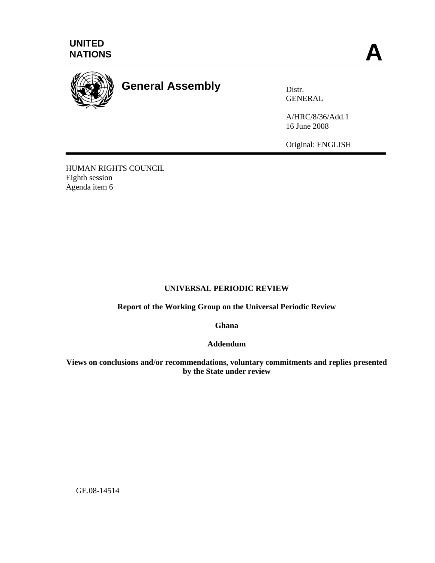



## **General Assembly** Distr.

GENERAL

A/HRC/8/36/Add.1 16 June 2008

Original: ENGLISH

HUMAN RIGHTS COUNCIL Eighth session Agenda item 6

## **UNIVERSAL PERIODIC REVIEW**

**Report of the Working Group on the Universal Periodic Review** 

**Ghana** 

**Addendum** 

**Views on conclusions and/or recommendations, voluntary commitments and replies presented by the State under review** 

GE.08-14514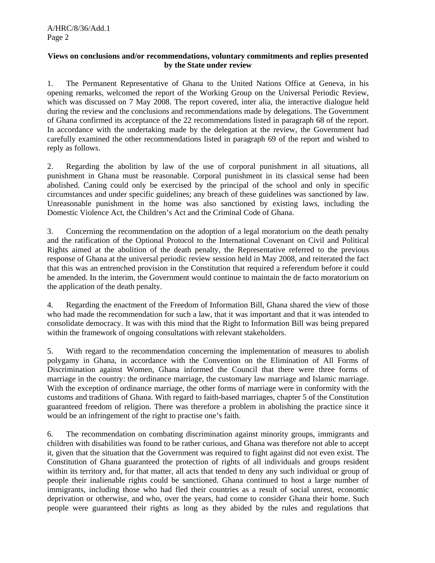## **Views on conclusions and/or recommendations, voluntary commitments and replies presented by the State under review**

1. The Permanent Representative of Ghana to the United Nations Office at Geneva, in his opening remarks, welcomed the report of the Working Group on the Universal Periodic Review, which was discussed on 7 May 2008. The report covered, inter alia, the interactive dialogue held during the review and the conclusions and recommendations made by delegations. The Government of Ghana confirmed its acceptance of the 22 recommendations listed in paragraph 68 of the report. In accordance with the undertaking made by the delegation at the review, the Government had carefully examined the other recommendations listed in paragraph 69 of the report and wished to reply as follows.

2. Regarding the abolition by law of the use of corporal punishment in all situations, all punishment in Ghana must be reasonable. Corporal punishment in its classical sense had been abolished. Caning could only be exercised by the principal of the school and only in specific circumstances and under specific guidelines; any breach of these guidelines was sanctioned by law. Unreasonable punishment in the home was also sanctioned by existing laws, including the Domestic Violence Act, the Children's Act and the Criminal Code of Ghana.

3. Concerning the recommendation on the adoption of a legal moratorium on the death penalty and the ratification of the Optional Protocol to the International Covenant on Civil and Political Rights aimed at the abolition of the death penalty, the Representative referred to the previous response of Ghana at the universal periodic review session held in May 2008, and reiterated the fact that this was an entrenched provision in the Constitution that required a referendum before it could be amended. In the interim, the Government would continue to maintain the de facto moratorium on the application of the death penalty.

4. Regarding the enactment of the Freedom of Information Bill, Ghana shared the view of those who had made the recommendation for such a law, that it was important and that it was intended to consolidate democracy. It was with this mind that the Right to Information Bill was being prepared within the framework of ongoing consultations with relevant stakeholders.

5. With regard to the recommendation concerning the implementation of measures to abolish polygamy in Ghana, in accordance with the Convention on the Elimination of All Forms of Discrimination against Women, Ghana informed the Council that there were three forms of marriage in the country: the ordinance marriage, the customary law marriage and Islamic marriage. With the exception of ordinance marriage, the other forms of marriage were in conformity with the customs and traditions of Ghana. With regard to faith-based marriages, chapter 5 of the Constitution guaranteed freedom of religion. There was therefore a problem in abolishing the practice since it would be an infringement of the right to practise one's faith.

6. The recommendation on combating discrimination against minority groups, immigrants and children with disabilities was found to be rather curious, and Ghana was therefore not able to accept it, given that the situation that the Government was required to fight against did not even exist. The Constitution of Ghana guaranteed the protection of rights of all individuals and groups resident within its territory and, for that matter, all acts that tended to deny any such individual or group of people their inalienable rights could be sanctioned. Ghana continued to host a large number of immigrants, including those who had fled their countries as a result of social unrest, economic deprivation or otherwise, and who, over the years, had come to consider Ghana their home. Such people were guaranteed their rights as long as they abided by the rules and regulations that